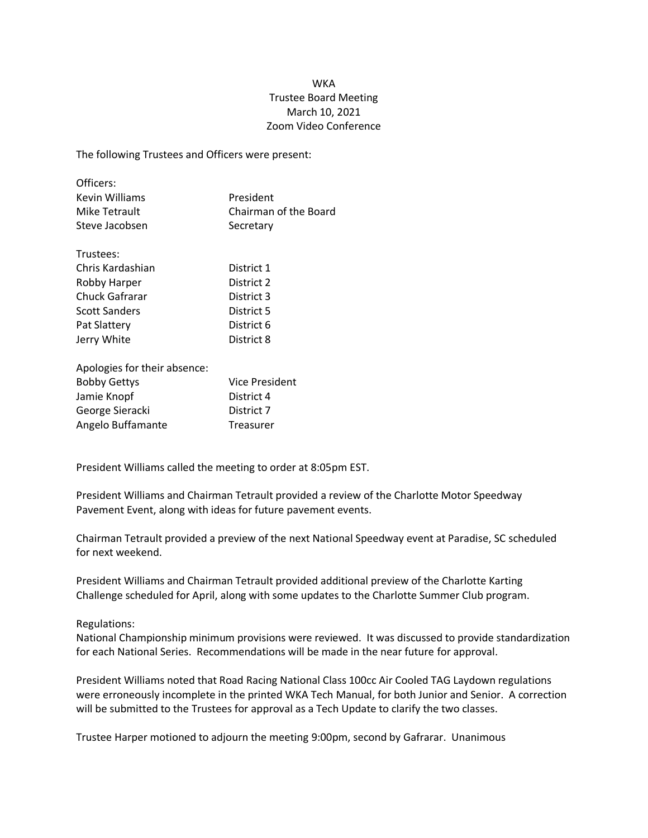## WKA Trustee Board Meeting March 10, 2021 Zoom Video Conference

The following Trustees and Officers were present:

| Officers:      |                       |
|----------------|-----------------------|
| Kevin Williams | President             |
| Mike Tetrault  | Chairman of the Board |
| Steve Jacobsen | Secretary             |

| Trustees:            |            |
|----------------------|------------|
| Chris Kardashian     | District 1 |
| Robby Harper         | District 2 |
| Chuck Gafrarar       | District 3 |
| <b>Scott Sanders</b> | District 5 |
| Pat Slattery         | District 6 |
| Jerry White          | District 8 |

| Apologies for their absence: |                       |
|------------------------------|-----------------------|
| <b>Bobby Gettys</b>          | <b>Vice President</b> |
| Jamie Knopf                  | District 4            |
| George Sieracki              | District 7            |
| Angelo Buffamante            | <b>Treasurer</b>      |

President Williams called the meeting to order at 8:05pm EST.

President Williams and Chairman Tetrault provided a review of the Charlotte Motor Speedway Pavement Event, along with ideas for future pavement events.

Chairman Tetrault provided a preview of the next National Speedway event at Paradise, SC scheduled for next weekend.

President Williams and Chairman Tetrault provided additional preview of the Charlotte Karting Challenge scheduled for April, along with some updates to the Charlotte Summer Club program.

## Regulations:

National Championship minimum provisions were reviewed. It was discussed to provide standardization for each National Series. Recommendations will be made in the near future for approval.

President Williams noted that Road Racing National Class 100cc Air Cooled TAG Laydown regulations were erroneously incomplete in the printed WKA Tech Manual, for both Junior and Senior. A correction will be submitted to the Trustees for approval as a Tech Update to clarify the two classes.

Trustee Harper motioned to adjourn the meeting 9:00pm, second by Gafrarar. Unanimous